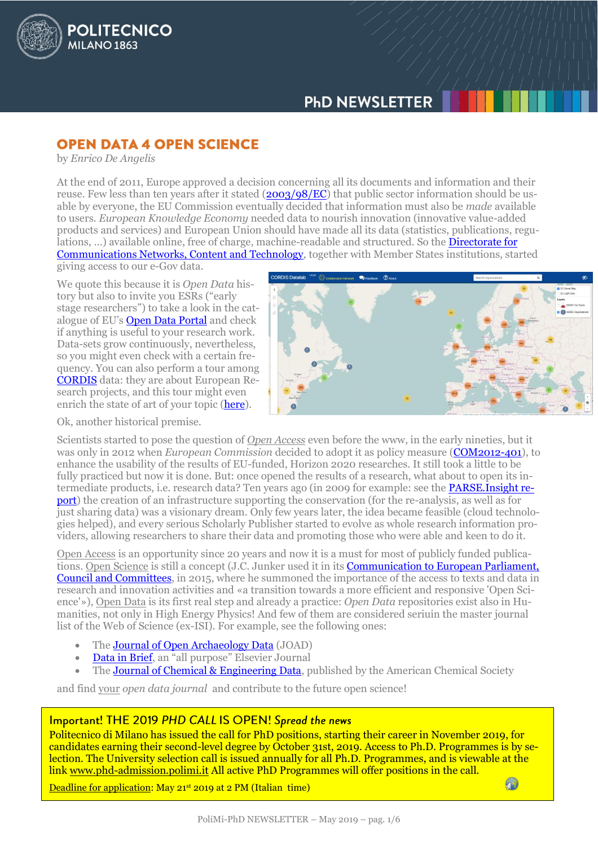

# **OPEN DATA 4 OPEN SCIENCE**

by *Enrico De Angelis*

**POLITECNICO** 

MILANO<sub>1863</sub>

At the end of 2011, Europe approved a decision concerning all its documents and information and their reuse. Few less than ten years after it stated [\(2003/98/EC\)](https://eur-lex.europa.eu/legal-content/EN/TXT/HTML/?uri=CELEX:32003L0098&from=en) that public sector information should be usable by everyone, the EU Commission eventually decided that information must also be *made* available to users. *European Knowledge Economy* needed data to nourish innovation (innovative value-added products and services) and European Union should have made all its data (statistics, publications, regulations, ...) available online, free of charge, machine-readable and structured. So the **Directorate for** [Communications Networks, Content and Technology,](https://ec.europa.eu/info/departments/communications-networks-content-and-technology_en) together with Member States institutions, started

giving access to our e-Gov data.

We quote this because it is *Open Data* history but also to invite you ESRs ("early stage researchers") to take a look in the catalogue of EU's [Open Data Portal](https://data.europa.eu/euodp/en/home) and check if anything is useful to your research work. Data-sets grow continuously, nevertheless, so you might even check with a certain frequency. You can also perform a tour among [CORDIS](https://cordis.europa.eu/guidance/archive_en.html) data: they are about European Research projects, and this tour might even enrich the state of art of your topic [\(here\)](http://data.europa.eu/euodp/en/data/dataset?tags=research+and+innovation).



Ok, another historical premise.

Scientists started to pose the question of *Open Access* even before the www, in the early nineties, but it was only in 2012 when *European Commission* decided to adopt it as policy measure [\(COM2012-401\)](http://ec.europa.eu/research/science-society/document_library/pdf_06/era-communication-towards-better-access-to-scientific-information_en.pdf), to enhance the usability of the results of EU-funded, Horizon 2020 researches. It still took a little to be fully practiced but now it is done. But: once opened the results of a research, what about to open its intermediate products, i.e. research data? Ten years ago (in 2009 for example: see the **PARSE. Insight re**[port\)](https://libereurope.eu/wp-content/uploads/2010/01/PARSE.Insight.-Deliverable-D3.4-Survey-Report.-of-research-output-Europe-Title-of-Deliverable-Survey-Report.pdf) the creation of an infrastructure supporting the conservation (for the re-analysis, as well as for just sharing data) was a visionary dream. Only few years later, the idea became feasible (cloud technologies helped), and every serious Scholarly Publisher started to evolve as whole research information providers, allowing researchers to share their data and promoting those who were able and keen to do it.

Open Access is an opportunity since 20 years and now it is a must for most of publicly funded publications. Open Science is still a concept (J.C. Junker used it in its [Communication to European Parliament,](https://eur-lex.europa.eu/legal-content/EN/TXT/HTML/?uri=CELEX:52015DC0192&from=EN)  [Council and Committees,](https://eur-lex.europa.eu/legal-content/EN/TXT/HTML/?uri=CELEX:52015DC0192&from=EN) in 2015, where he summoned the importance of the access to texts and data in research and innovation activities and «a transition towards a more efficient and responsive 'Open Science'»), Open Data is its first real step and already a practice: *Open Data* repositories exist also in Humanities, not only in High Energy Physics! And few of them are considered seriuin the master journal list of the Web of Science (ex-ISI). For example, see the following ones:

- Th[e Journal of Open Archaeology Data](https://openarchaeologydata.metajnl.com/) (JOAD)
- [Data in Brief,](https://www.journals.elsevier.com/data-in-brief) an "all purpose" Elsevier Journal
- The **Journal of Chemical & Engineering Data**, published by the American Chemical Society

and find your *open data journal* and contribute to the future open science!

### Important! THE 2019 PHD CALL IS OPEN! Spread the news

Politecnico di Milano has issued the call for PhD positions, starting their career in November 2019, for candidates earning their second-level degree by October 31st, 2019. Access to Ph.D. Programmes is by selection. The University selection call is issued annually for all Ph.D. Programmes, and is viewable at the link [www.phd-admission.polimi.it](http://www.phd-admission.polimi.it/) All active PhD Programmes will offer positions in the call.

Deadline for application: May 21<sup>st</sup> 2019 at 2 PM (Italian time)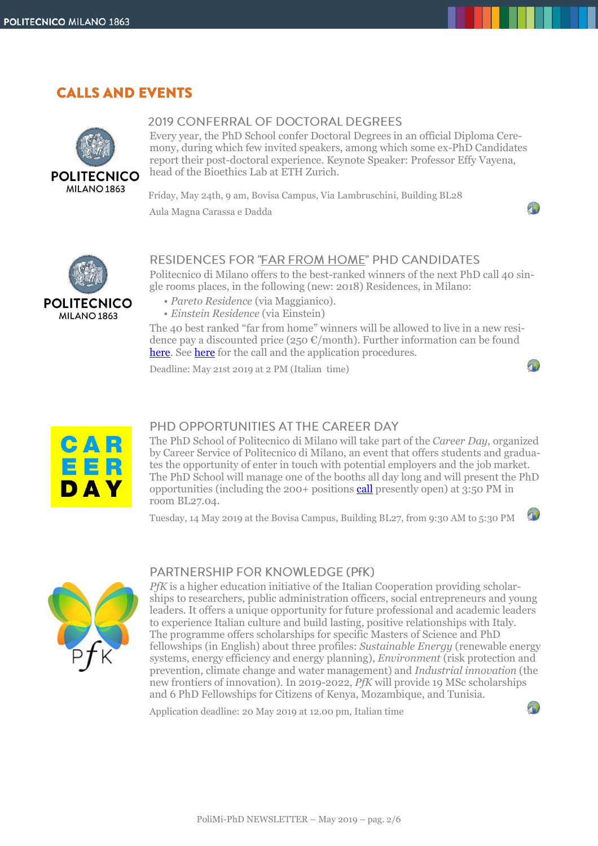# **CALLS AND EVENTS**



## 2019 CONFERRAL OF DOCTORAL DEGREES

Every year, the PhD School confer Doctoral Degrees in an official Diploma Ceremony, during which few invited speakers, among which some ex-PhD Candidates report their post-doctoral experience. Keynote Speaker: Professor Effy Vayena, head of the Bioethics Lab at ETH Zurich.

 $\mathcal{P}$ 

 $\mathbf{L}$ 

 $-10$ 

 $\mathcal{P}$ 

Friday, May 24th, 9 am, Bovisa Campus, Via Lambruschini, Building BL28 Aula Magna Carassa e Dadda



### **RESIDENCES FOR "FAR FROM HOME" PHD CANDIDATES**

Politecnico di Milano offers to the best-ranked winners of the next PhD call 40 single rooms places, in the following (new: 2018) Residences, in Milano:

- *Pareto Residence* (via Maggianico).
- *Einstein Residence* (via Einstein)

The 40 best ranked "far from home" winners will be allowed to live in a new residence pay a discounted price (250  $\epsilon$ /month). Further information can be found [here.](http://www.residenze.polimi.it/) See [here](http://www.phd-admission.polimi.it/) for the call and the application procedures.

Deadline: May 21st 2019 at 2 PM (Italian time)



## PHD OPPORTUNITIES AT THE CAREER DAY

The PhD School of Politecnico di Milano will take part of the *Career Day*, organized by Career Service of Politecnico di Milano, an event that offers students and graduates the opportunity of enter in touch with potential employers and the job market. The PhD School will manage one of the booths all day long and will present the PhD opportunities (including the 200+ positions [call](http://www.dottorato.polimi.it/en/news-and-deadlines/news/article/23/bando-concorso-xxxv-ciclo-apertura-iscrizioni-online-456/) presently open) at 3:50 PM in room BL27.04.

Tuesday, 14 May 2019 at the Bovisa Campus, Building BL27, from 9:30 AM to 5:30 PM



## PARTNERSHIP FOR KNOWLEDGE (PfK)

*PfK* is a higher education initiative of the Italian Cooperation providing scholarships to researchers, public administration officers, social entrepreneurs and young leaders. It offers a unique opportunity for future professional and academic leaders to experience Italian culture and build lasting, positive relationships with Italy. The programme offers scholarships for specific Masters of Science and PhD fellowships (in English) about three profiles: *Sustainable Energy* (renewable energy systems, energy efficiency and energy planning), *Environment* (risk protection and prevention, climate change and water management) and *Industrial innovation* (the new frontiers of innovation). In 2019-2022, *PfK* will provide 19 MSc scholarships and 6 PhD Fellowships for Citizens of Kenya, Mozambique, and Tunisia.

Application deadline: 20 May 2019 at 12.00 pm, Italian time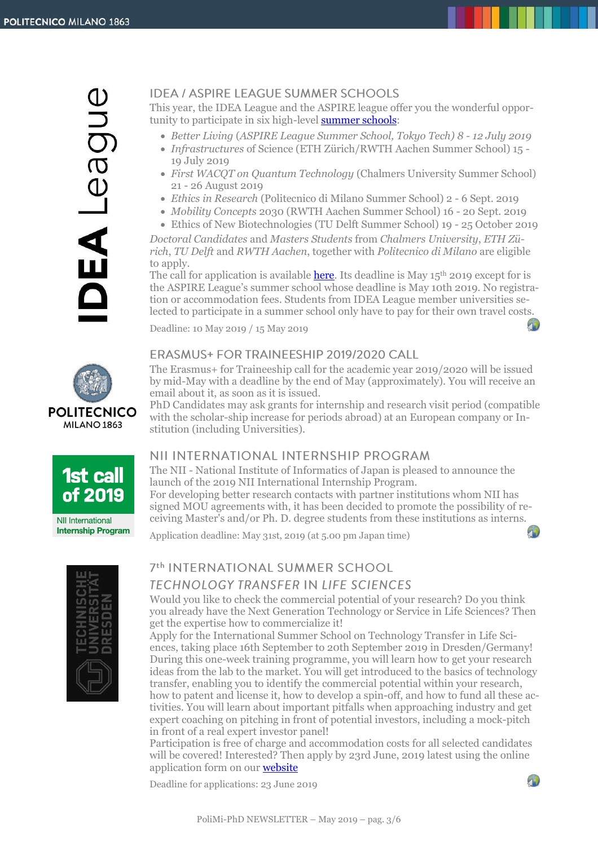## **IDEA / ASPIRE LEAGUE SUMMER SCHOOLS**

This year, the IDEA League and the ASPIRE league offer you the wonderful opportunity to participate in six high-level **summer schools**:

- *Better Living* (*ASPIRE League Summer School, Tokyo Tech) 8 - 12 July 2019*
- *Infrastructures* of Science (ETH Zürich/RWTH Aachen Summer School) 15 19 July 2019
- *First WACQT on Quantum Technology* (Chalmers University Summer School) 21 - 26 August 2019
- *Ethics in Research* (Politecnico di Milano Summer School) 2 6 Sept. 2019
- *Mobility Concepts* 2030 (RWTH Aachen Summer School) 16 20 Sept. 2019
- Ethics of New Biotechnologies (TU Delft Summer School) 19 25 October 2019

*Doctoral Candidates* and *Masters Students* from *Chalmers University*, *ETH Zürich*, *TU Delft* and *RWTH Aachen*, together with *Politecnico di Milano* are eligible to apply.

The call for application is available [here.](https://www.polimi.it/en/services-and-opportunities/experience-abroad/study-mobility/idea-league/summer-schools/) Its deadline is May  $15<sup>th</sup>$  2019 except for is the ASPIRE League's summer school whose deadline is May 10th 2019. No registration or accommodation fees. Students from IDEA League member universities selected to participate in a summer school only have to pay for their own travel costs.

Deadline: 10 May 2019 / 15 May 2019

## ERASMUS+ FOR TRAINEESHIP 2019/2020 CALL

The Erasmus+ for Traineeship call for the academic year 2019/2020 will be issued by mid-May with a deadline by the end of May (approximately). You will receive an email about it, as soon as it is issued.

PhD Candidates may ask grants for internship and research visit period (compatible with the scholar-ship increase for periods abroad) at an European company or Institution (including Universities).

# NII INTERNATIONAL INTERNSHIP PROGRAM

The NII - National Institute of Informatics of Japan is pleased to announce the launch of the 2019 NII International Internship Program.

For developing better research contacts with partner institutions whom NII has signed MOU agreements with, it has been decided to promote the possibility of receiving Master's and/or Ph. D. degree students from these institutions as interns.

Application deadline: May 31st, 2019 (at 5.00 pm Japan time)



# 7th INTERNATIONAL SUMMER SCHOOL **TECHNOLOGY TRANSFER IN LIFE SCIENCES**

Would you like to check the commercial potential of your research? Do you think you already have the Next Generation Technology or Service in Life Sciences? Then get the expertise how to commercialize it!

Apply for the International Summer School on Technology Transfer in Life Sciences, taking place 16th September to 20th September 2019 in Dresden/Germany! During this one-week training programme, you will learn how to get your research ideas from the lab to the market. You will get introduced to the basics of technology transfer, enabling you to identify the commercial potential within your research, how to patent and license it, how to develop a spin-off, and how to fund all these activities. You will learn about important pitfalls when approaching industry and get expert coaching on pitching in front of potential investors, including a mock-pitch in front of a real expert investor panel!

Participation is free of charge and accommodation costs for all selected candidates will be covered! Interested? Then apply by 23rd June, 2019 latest using the online application form on our [website](http://www.summerschool-dresden.de/)

Deadline for applications: 23 June 2019



 $\sqrt{2}$ 







PoliMi-PhD NEWSLETTER – May 2019 – pag. 3/6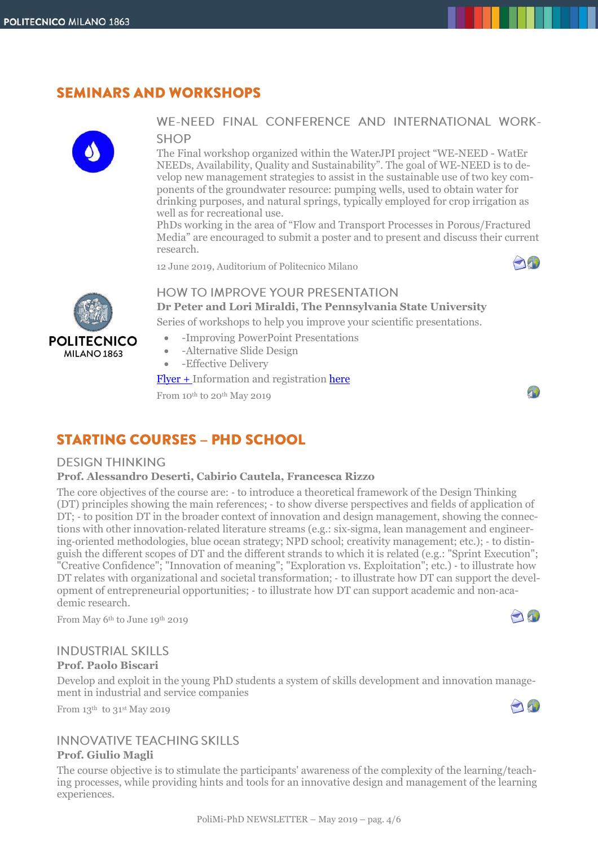# **SEMINARS AND WORKSHOPS**



**POLITECNICO** MILANO<sub>1863</sub>

## WE-NEED FINAL CONFERENCE AND INTERNATIONAL WORK-**SHOP**

The Final workshop organized within the WaterJPI project "WE-NEED - WatEr NEEDs, Availability, Quality and Sustainability". The goal of WE-NEED is to develop new management strategies to assist in the sustainable use of two key components of the groundwater resource: pumping wells, used to obtain water for drinking purposes, and natural springs, typically employed for crop irrigation as well as for recreational use.

PhDs working in the area of "Flow and Transport Processes in Porous/Fractured Media" are encouraged to submit a poster and to present and discuss their current research.

12 June 2019, Auditorium of Politecnico Milano



## **HOW TO IMPROVE YOUR PRESENTATION**

**Dr Peter and Lori Miraldi, The Pennsylvania State University**

Series of workshops to help you improve your scientific presentations.

- -Improving PowerPoint Presentations
- -Alternative Slide Design
- -Effective Delivery

[Flyer](http://www.dottorato.polimi.it/fileadmin/files/dottorato/newsletter/allegati/2019-05/Workshop_Flyer_for_Milan_Politecnico-2.pdf) + Information and registration [here](https://www.polimi.it/en/programmes/innovative-teaching/course-detail/?corso=1248359)

From 10<sup>th</sup> to 20<sup>th</sup> May 2019

# **STARTING COURSES - PHD SCHOOL**

### **DESIGN THINKING**

#### **Prof. Alessandro Deserti, Cabirio Cautela, Francesca Rizzo**

The core objectives of the course are: ‐ to introduce a theoretical framework of the Design Thinking (DT) principles showing the main references; ‐ to show diverse perspectives and fields of application of DT; - to position DT in the broader context of innovation and design management, showing the connections with other innovation‐related literature streams (e.g.: six‐sigma, lean management and engineering‐oriented methodologies, blue ocean strategy; NPD school; creativity management; etc.); ‐ to distinguish the different scopes of DT and the different strands to which it is related (e.g.: "Sprint Execution"; "Creative Confidence"; "Innovation of meaning"; "Exploration vs. Exploitation"; etc.) ‐ to illustrate how DT relates with organizational and societal transformation; - to illustrate how DT can support the development of entrepreneurial opportunities; ‐ to illustrate how DT can support academic and non‐academic research.

From May 6th to June 19th 2019

## **INDUSTRIAL SKILLS**

### **Prof. Paolo Biscari**

Develop and exploit in the young PhD students a system of skills development and innovation management in industrial and service companies

From  $13<sup>th</sup>$  to  $31<sup>st</sup>$  May 2019

# **INNOVATIVE TEACHING SKILLS**

#### **Prof. Giulio Magli**

The course objective is to stimulate the participants' awareness of the complexity of the learning/teaching processes, while providing hints and tools for an innovative design and management of the learning experiences.



O

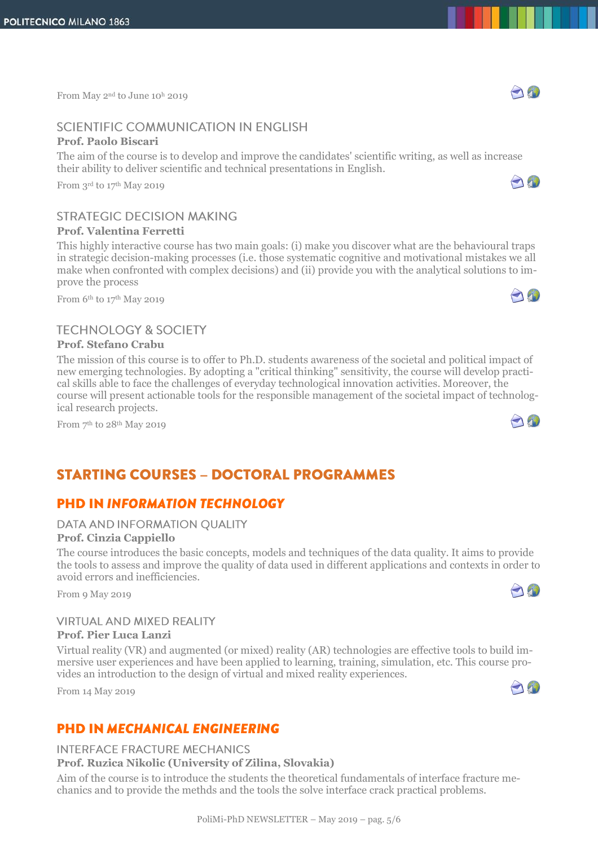From May 2<sup>nd</sup> to June 10<sup>h</sup> 2019

# SCIENTIFIC COMMUNICATION IN ENGLISH

#### **Prof. Paolo Biscari**

The aim of the course is to develop and improve the candidates' scientific writing, as well as increase their ability to deliver scientific and technical presentations in English.

From 3rd to 17th May 2019

# **STRATEGIC DECISION MAKING**

#### **Prof. Valentina Ferretti**

This highly interactive course has two main goals: (i) make you discover what are the behavioural traps in strategic decision-making processes (i.e. those systematic cognitive and motivational mistakes we all make when confronted with complex decisions) and (ii) provide you with the analytical solutions to improve the process

From 6<sup>th</sup> to 17<sup>th</sup> May 2019

# **TECHNOLOGY & SOCIETY**

#### **Prof. Stefano Crabu**

The mission of this course is to offer to Ph.D. students awareness of the societal and political impact of new emerging technologies. By adopting a "critical thinking" sensitivity, the course will develop practical skills able to face the challenges of everyday technological innovation activities. Moreover, the course will present actionable tools for the responsible management of the societal impact of technological research projects.

From 7<sup>th</sup> to 28<sup>th</sup> May 2019

# **STARTING COURSES - DOCTORAL PROGRAMMES**

# **PHD IN INFORMATION TECHNOLOGY**

#### DATA AND INFORMATION QUALITY

#### **Prof. Cinzia Cappiello**

The course introduces the basic concepts, models and techniques of the data quality. It aims to provide the tools to assess and improve the quality of data used in different applications and contexts in order to avoid errors and inefficiencies.

From 9 May 2019

#### **VIRTUAL AND MIXED REALITY Prof. Pier Luca Lanzi**

Virtual reality (VR) and augmented (or mixed) reality (AR) technologies are effective tools to build immersive user experiences and have been applied to learning, training, simulation, etc. This course provides an introduction to the design of virtual and mixed reality experiences.

From 14 May 2019

# $\bigcap_{i=1}^n$

# **PHD IN MECHANICAL ENGINEERING**

### **INTERFACE FRACTURE MECHANICS**

## **Prof. Ruzica Nikolic (University of Zilina, Slovakia)**

Aim of the course is to introduce the students the theoretical fundamentals of interface fracture mechanics and to provide the methds and the tools the solve interface crack practical problems.